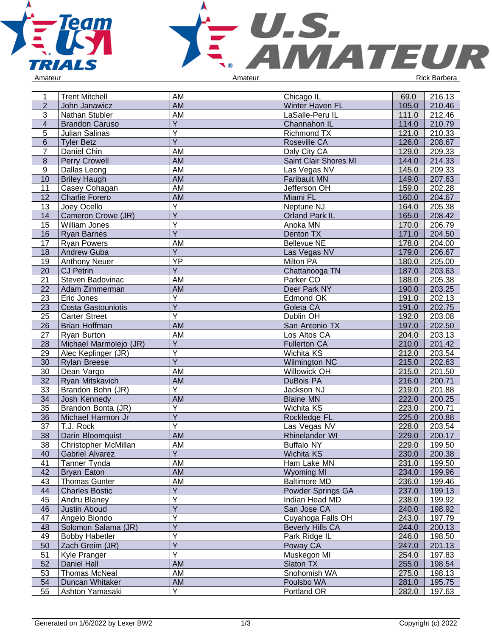



| 1               | <b>Trent Mitchell</b>     | AM                      | Chicago IL              | 69.0  | 216.13 |
|-----------------|---------------------------|-------------------------|-------------------------|-------|--------|
| $\overline{2}$  | John Janawicz             | <b>AM</b>               | Winter Haven FL         | 105.0 | 210.46 |
| 3               | Nathan Stubler            | AM                      | LaSalle-Peru IL         | 111.0 | 212.46 |
| $\overline{4}$  | <b>Brandon Caruso</b>     | Y                       | Channahon IL            | 114.0 | 210.79 |
| 5               | Julian Salinas            | $\overline{Y}$          | Richmond TX             | 121.0 | 210.33 |
| $6\phantom{1}6$ | <b>Tyler Betz</b>         | $\overline{Y}$          | Roseville CA            | 126.0 | 208.67 |
| $\overline{7}$  | Daniel Chin               | AM                      | Daly City CA            | 129.0 | 209.33 |
| $\bf 8$         | <b>Perry Crowell</b>      | <b>AM</b>               | Saint Clair Shores MI   | 144.0 | 214.33 |
| 9               | Dallas Leong              | AM                      | Las Vegas NV            | 145.0 | 209.33 |
| 10              | <b>Briley Haugh</b>       | <b>AM</b>               | <b>Faribault MN</b>     | 149.0 | 207.63 |
| 11              | Casey Cohagan             | AM                      | Jefferson OH            | 159.0 | 202.28 |
| 12              | <b>Charlie Forero</b>     | <b>AM</b>               | Miami FL                | 160.0 | 204.67 |
| 13              | Joey Ocello               | Υ                       | Neptune NJ              | 164.0 | 205.38 |
| 14              | Cameron Crowe (JR)        | $\overline{Y}$          | Orland Park IL          | 165.0 | 208.42 |
| 15              | William Jones             | Y                       | Anoka MN                | 170.0 | 206.79 |
| 16              | <b>Ryan Barnes</b>        | $\overline{Y}$          | Denton TX               | 171.0 | 204.50 |
| 17              | <b>Ryan Powers</b>        | AM                      | <b>Bellevue NE</b>      | 178.0 | 204.00 |
| 18              | Andrew Guba               | $\overline{Y}$          | Las Vegas NV            | 179.0 | 206.67 |
| 19              | <b>Anthony Neuer</b>      | $\overline{YP}$         | Milton PA               | 180.0 | 205.00 |
| 20              | <b>CJ Petrin</b>          | $\overline{Y}$          | Chattanooga TN          | 187.0 | 203.63 |
| 21              | Steven Badovinac          | AM                      | Parker CO               | 188.0 | 205.38 |
| 22              | Adam Zimmerman            | <b>AM</b>               | Deer Park NY            | 190.0 | 203.25 |
| 23              | Eric Jones                | Υ                       | Edmond OK               | 191.0 | 202.13 |
| 23              | <b>Costa Gastouniotis</b> | $\overline{\mathsf{Y}}$ | Goleta CA               | 191.0 | 202.75 |
| 25              | <b>Carter Street</b>      | Ÿ                       | Dublin OH               | 192.0 | 203.08 |
| 26              | Brian Hoffman             | <b>AM</b>               | San Antonio TX          | 197.0 | 202.50 |
| 27              | Ryan Burton               | AM                      | Los Altos CA            | 204.0 | 203.13 |
| 28              | Michael Marmolejo (JR)    | $\overline{Y}$          | <b>Fullerton CA</b>     | 210.0 | 201.42 |
| 29              | Alec Keplinger (JR)       | $\overline{\mathsf{Y}}$ | Wichita KS              | 212.0 | 203.54 |
| 30              | <b>Rylan Breese</b>       | $\overline{\mathsf{Y}}$ | Wilmington NC           | 215.0 | 202.63 |
| 30              | Dean Vargo                | AM                      | Willowick OH            | 215.0 | 201.50 |
| 32              | Ryan Mitskavich           | AM                      | DuBois PA               | 216.0 | 200.71 |
| 33              | Brandon Bohn (JR)         | Υ                       | Jackson NJ              | 219.0 | 201.88 |
| 34              | Josh Kennedy              | AM                      | <b>Blaine MN</b>        | 222.0 | 200.25 |
| 35              | Brandon Bonta (JR)        | Y                       | Wichita KS              | 223.0 | 200.71 |
| 36              | Michael Harmon Jr         | $\overline{Y}$          | Rockledge FL            | 225.0 | 200.88 |
| 37              | T.J. Rock                 | $\overline{\mathsf{Y}}$ | Las Vegas NV            | 228.0 | 203.54 |
| 38              | Darin Bloomquist          | <b>AM</b>               | Rhinelander WI          | 229.0 | 200.17 |
| 38              | Christopher McMillan      | AM                      | <b>Buffalo NY</b>       | 229.0 | 199.50 |
| 40              | <b>Gabriel Alvarez</b>    | $\overline{Y}$          | Wichita KS              | 230.0 | 200.38 |
| 41              | Tanner Tynda              | AM                      | Ham Lake MN             | 231.0 | 199.50 |
| 42              | <b>Bryan Eaton</b>        | AM                      | <b>Wyoming MI</b>       | 234.0 | 199.96 |
| 43              | <b>Thomas Gunter</b>      | AM                      | <b>Baltimore MD</b>     | 236.0 | 199.46 |
| 44              | <b>Charles Bostic</b>     | Y                       | Powder Springs GA       | 237.0 | 199.13 |
| 45              | Andru Blaney              | Ý                       | Indian Head MD          | 238.0 | 199.92 |
| 46              | <b>Justin Aboud</b>       | Y                       | San Jose CA             | 240.0 | 198.92 |
| 47              | Angelo Biondo             | $\overline{Y}$          | Cuyahoga Falls OH       | 243.0 | 197.79 |
| 48              | Solomon Salama (JR)       | Y                       | <b>Beverly Hills CA</b> | 244.0 | 200.13 |
| 49              | <b>Bobby Habetler</b>     | Ÿ                       | Park Ridge IL           | 246.0 | 198.50 |
| 50              | Zach Greim (JR)           | Y                       | Poway CA                | 247.0 | 201.13 |
| 51              | Kyle Pranger              | Y                       | Muskegon MI             | 254.0 | 197.83 |
| 52              | Daniel Hall               | <b>AM</b>               | Slaton TX               | 255.0 | 198.54 |
| 53              | <b>Thomas McNeal</b>      | AM                      | Snohomish WA            | 275.0 | 198.13 |
| 54              | Duncan Whitaker           | AM                      | Poulsbo WA              | 281.0 | 195.75 |
| 55              | Ashton Yamasaki           | $\overline{Y}$          | Portland OR             | 282.0 | 197.63 |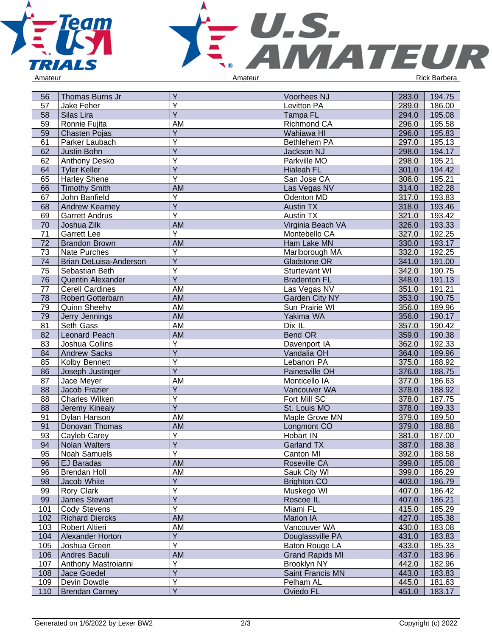



| 56  | Thomas Burns Jr        | Y                       | Voorhees NJ            | 283.0 | 194.75 |
|-----|------------------------|-------------------------|------------------------|-------|--------|
| 57  | Jake Feher             | Ý                       | Levitton PA            | 289.0 | 186.00 |
| 58  | Silas Lira             | Y                       | <b>Tampa FL</b>        | 294.0 | 195.08 |
| 59  | Ronnie Fujita          | AM                      | Richmond CA            | 296.0 | 195.58 |
| 59  | <b>Chasten Pojas</b>   | Y                       | Wahiawa HI             | 296.0 | 195.83 |
| 61  | Parker Laubach         | Ý                       | Bethlehem PA           | 297.0 | 195.13 |
| 62  | Justin Bohn            | Ÿ                       | Jackson NJ             | 298.0 | 194.17 |
| 62  | Anthony Desko          | Y                       | Parkville MO           | 298.0 | 195.21 |
| 64  | <b>Tyler Keller</b>    | $\overline{\mathsf{Y}}$ | <b>Hialeah FL</b>      | 301.0 | 194.42 |
| 65  | <b>Harley Shene</b>    | Ÿ                       | San Jose CA            | 306.0 | 195.21 |
| 66  | <b>Timothy Smith</b>   | <b>AM</b>               | Las Vegas NV           | 314.0 | 182.28 |
| 67  | John Banfield          | Υ                       | Odenton MD             | 317.0 | 193.83 |
| 68  | Andrew Kearney         | Υ                       | <b>Austin TX</b>       | 318.0 | 193.46 |
| 69  | <b>Garrett Andrus</b>  | $\overline{Y}$          | <b>Austin TX</b>       | 321.0 | 193.42 |
| 70  | Joshua Zilk            | AM                      | Virginia Beach VA      | 326.0 | 193.33 |
| 71  | <b>Garrett Lee</b>     | $\overline{Y}$          | Montebello CA          | 327.0 | 192.25 |
| 72  | <b>Brandon Brown</b>   | <b>AM</b>               | Ham Lake MN            | 330.0 | 193.17 |
| 73  | Nate Purches           | $\overline{Y}$          | Marlborough MA         | 332.0 | 192.25 |
| 74  | Brian DeLuisa-Anderson | $\overline{Y}$          | Gladstone OR           | 341.0 | 191.00 |
| 75  | Sebastian Beth         | Ý                       | Sturtevant WI          | 342.0 | 190.75 |
| 76  | Quentin Alexander      | $\overline{Y}$          | <b>Bradenton FL</b>    | 348.0 | 191.13 |
| 77  | <b>Cerell Cardines</b> | AM                      | Las Vegas NV           | 351.0 | 191.21 |
| 78  | Robert Gotterbarn      | <b>AM</b>               | Garden City NY         | 353.0 | 190.75 |
| 79  | Quinn Sheehy           | AM                      | Sun Prairie WI         | 356.0 | 189.96 |
| 79  | Jerry Jennings         | <b>AM</b>               | Yakima WA              | 356.0 | 190.17 |
| 81  | Seth Gass              | AM                      | Dix IL                 | 357.0 | 190.42 |
| 82  | Leonard Peach          | <b>AM</b>               | Bend OR                | 359.0 | 190.38 |
| 83  | Joshua Collins         | Y                       | Davenport IA           | 362.0 | 192.33 |
| 84  | <b>Andrew Sacks</b>    | $\overline{Y}$          | Vandalia OH            | 364.0 | 189.96 |
| 85  | Kolby Bennett          | Ý                       | Lebanon PA             | 375.0 | 188.92 |
| 86  | Joseph Justinger       | $\overline{Y}$          | Painesville OH         | 376.0 | 188.75 |
| 87  | Jace Meyer             | AM                      | Monticello IA          | 377.0 | 186.63 |
| 88  | Jacob Frazier          | Υ                       | Vancouver WA           | 378.0 | 188.92 |
| 88  | Charles Wilken         | Υ                       | Fort Mill SC           | 378.0 | 187.75 |
| 88  | Jeremy Kinealy         | $\overline{\mathsf{Y}}$ | St. Louis MO           | 378.0 | 189.33 |
| 91  | Dylan Hanson           | AM                      | Maple Grove MN         | 379.0 | 189.50 |
| 91  | Donovan Thomas         | <b>AM</b>               | Longmont CO            | 379.0 | 188.88 |
| 93  | Cayleb Carey           | Υ                       | Hobart IN              | 381.0 | 187.00 |
| 94  | <b>Nolan Walters</b>   | $\overline{Y}$          | <b>Garland TX</b>      | 387.0 | 188.38 |
| 95  | Noah Samuels           | $\overline{Y}$          | Canton MI              | 392.0 | 188.58 |
| 96  | EJ Baradas             | <b>AM</b>               | Roseville CA           | 399.0 | 185.08 |
| 96  | <b>Brendan Holl</b>    | AM                      | Sauk City WI           | 399.0 | 186.29 |
| 98  | Jacob White            | Υ                       | <b>Brighton CO</b>     | 403.0 | 186.79 |
| 99  | Rory Clark             | Υ                       | Muskego WI             | 407.0 | 186.42 |
| 99  | James Stewart          | $\overline{Y}$          | Roscoe IL              | 407.0 | 186.21 |
| 101 | Cody Stevens           | Y                       | Miami FL               | 415.0 | 185.29 |
| 102 | <b>Richard Diercks</b> | <b>AM</b>               | Marion IA              | 427.0 | 185.38 |
| 103 | Robert Altieri         | AM                      | Vancouver WA           | 430.0 | 183.08 |
| 104 | Alexander Horton       | $\overline{Y}$          | Douglassville PA       | 431.0 | 183.83 |
| 105 | Joshua Green           | $\overline{\mathsf{Y}}$ | Baton Rouge LA         | 433.0 | 185.33 |
| 106 | Andres Baculi          | <b>AM</b>               | <b>Grand Rapids MI</b> | 437.0 | 183.96 |
| 107 | Anthony Mastroianni    | Υ                       | <b>Brooklyn NY</b>     | 442.0 | 182.96 |
| 108 | Jace Goedel            | Y                       | Saint Francis MN       | 443.0 | 183.83 |
| 109 | Devin Dowdle           | Υ                       | Pelham AL              | 445.0 | 181.63 |
| 110 | <b>Brendan Carney</b>  | $\overline{Y}$          | Oviedo FL              | 451.0 | 183.17 |